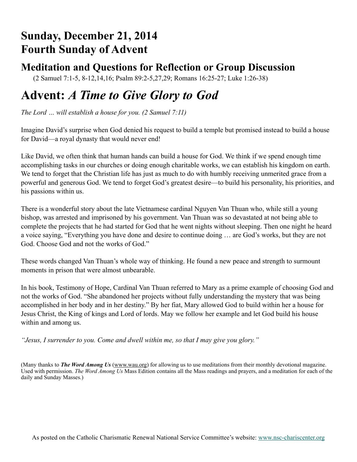## **Sunday, December 21, 2014 Fourth Sunday of Advent**

### **Meditation and Questions for Reflection or Group Discussion**

(2 Samuel 7:1-5, 8-12,14,16; Psalm 89:2-5,27,29; Romans 16:25-27; Luke 1:26-38)

# **Advent:** *A Time to Give Glory to God*

*The Lord … will establish a house for you. (2 Samuel 7:11)*

Imagine David's surprise when God denied his request to build a temple but promised instead to build a house for David—a royal dynasty that would never end!

Like David, we often think that human hands can build a house for God. We think if we spend enough time accomplishing tasks in our churches or doing enough charitable works, we can establish his kingdom on earth. We tend to forget that the Christian life has just as much to do with humbly receiving unmerited grace from a powerful and generous God. We tend to forget God's greatest desire—to build his personality, his priorities, and his passions within us.

There is a wonderful story about the late Vietnamese cardinal Nguyen Van Thuan who, while still a young bishop, was arrested and imprisoned by his government. Van Thuan was so devastated at not being able to complete the projects that he had started for God that he went nights without sleeping. Then one night he heard a voice saying, "Everything you have done and desire to continue doing … are God's works, but they are not God. Choose God and not the works of God."

These words changed Van Thuan's whole way of thinking. He found a new peace and strength to surmount moments in prison that were almost unbearable.

In his book, Testimony of Hope, Cardinal Van Thuan referred to Mary as a prime example of choosing God and not the works of God. "She abandoned her projects without fully understanding the mystery that was being accomplished in her body and in her destiny." By her fiat, Mary allowed God to build within her a house for Jesus Christ, the King of kings and Lord of lords. May we follow her example and let God build his house within and among us.

*"Jesus, I surrender to you. Come and dwell within me, so that I may give you glory."*

(Many thanks to *[The Word Among Us](http://www.wau.org/)* [\(www.wau.org\)](http://www.wau.org) for allowing us to use meditations from their monthly devotional magazine. Used with permission. *The Word Among Us* Mass Edition contains all the Mass readings and prayers, and a meditation for each of the daily and Sunday Masses.)